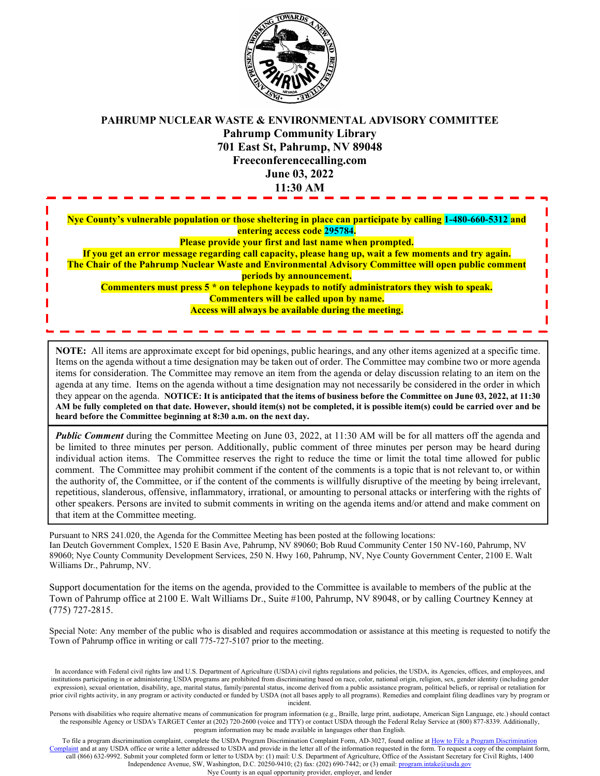

## **PAHRUMP NUCLEAR WASTE & ENVIRONMENTAL ADVISORY COMMITTEE Pahrump Community Library 701 East St, Pahrump, NV 89048 Freeconferencecalling.com June 03, 2022 11:30 AM**

**Nye County's vulnerable population or those sheltering in place can participate by calling 1-480-660-5312 and entering access code 295784. Please provide your first and last name when prompted. If you get an error message regarding call capacity, please hang up, wait a few moments and try again. The Chair of the Pahrump Nuclear Waste and Environmental Advisory Committee will open public comment periods by announcement. Commenters must press 5 \* on telephone keypads to notify administrators they wish to speak. Commenters will be called upon by name. Access will always be available during the meeting.**

**NOTE:** All items are approximate except for bid openings, public hearings, and any other items agenized at a specific time. Items on the agenda without a time designation may be taken out of order. The Committee may combine two or more agenda items for consideration. The Committee may remove an item from the agenda or delay discussion relating to an item on the agenda at any time. Items on the agenda without a time designation may not necessarily be considered in the order in which they appear on the agenda. **NOTICE: It is anticipated that the items of business before the Committee on June 03, 2022, at 11:30 AM be fully completed on that date. However, should item(s) not be completed, it is possible item(s) could be carried over and be heard before the Committee beginning at 8:30 a.m. on the next day.**

*Public Comment* during the Committee Meeting on June 03, 2022, at 11:30 AM will be for all matters off the agenda and be limited to three minutes per person. Additionally, public comment of three minutes per person may be heard during individual action items. The Committee reserves the right to reduce the time or limit the total time allowed for public comment. The Committee may prohibit comment if the content of the comments is a topic that is not relevant to, or within the authority of, the Committee, or if the content of the comments is willfully disruptive of the meeting by being irrelevant, repetitious, slanderous, offensive, inflammatory, irrational, or amounting to personal attacks or interfering with the rights of other speakers. Persons are invited to submit comments in writing on the agenda items and/or attend and make comment on that item at the Committee meeting.

Pursuant to NRS 241.020, the Agenda for the Committee Meeting has been posted at the following locations: Ian Deutch Government Complex, 1520 E Basin Ave, Pahrump, NV 89060; Bob Ruud Community Center 150 NV-160, Pahrump, NV 89060; Nye County Community Development Services, 250 N. Hwy 160, Pahrump, NV, Nye County Government Center, 2100 E. Walt Williams Dr., Pahrump, NV.

Support documentation for the items on the agenda, provided to the Committee is available to members of the public at the Town of Pahrump office at 2100 E. Walt Williams Dr., Suite #100, Pahrump, NV 89048, or by calling Courtney Kenney at (775) 727-2815.

Special Note: Any member of the public who is disabled and requires accommodation or assistance at this meeting is requested to notify the Town of Pahrump office in writing or call 775-727-5107 prior to the meeting.

In accordance with Federal civil rights law and U.S. Department of Agriculture (USDA) civil rights regulations and policies, the USDA, its Agencies, offices, and employees, and institutions participating in or administering USDA programs are prohibited from discriminating based on race, color, national origin, religion, sex, gender identity (including gender expression), sexual orientation, disability, age, marital status, family/parental status, income derived from a public assistance program, political beliefs, or reprisal or retaliation for prior civil rights activity, in any program or activity conducted or funded by USDA (not all bases apply to all programs). Remedies and complaint filing deadlines vary by program or incident.

Persons with disabilities who require alternative means of communication for program information (e.g., Braille, large print, audiotape, American Sign Language, etc.) should contact the responsible Agency or USDA's TARGET Center at (202) 720-2600 (voice and TTY) or contact USDA through the Federal Relay Service at (800) 877-8339. Additionally, program information may be made available in languages other than English.

To file a program discrimination complaint, complete the USDA Program Discrimination Complaint Form, AD-3027, found online at How to File a Program Discrimination [Complaint](https://www.ascr.usda.gov/how-file-program-discrimination-complaint) and at any USDA office or write a letter addressed to USDA and provide in the letter all of the information requested in the form. To request a copy of the complaint form, call (866) 632-9992. Submit your completed form or letter to USDA by: (1) mail: U.S. Department of Agriculture, Office of the Assistant Secretary for Civil Rights, 1400 Independence Avenue, SW, Washington, D.C. 20250-9410; (2) fax: (202) 690-7442; or (3) email[: program.intake@usda.gov](mailto:program.intake@usda.gov)

Nye County is an equal opportunity provider, employer, and lender